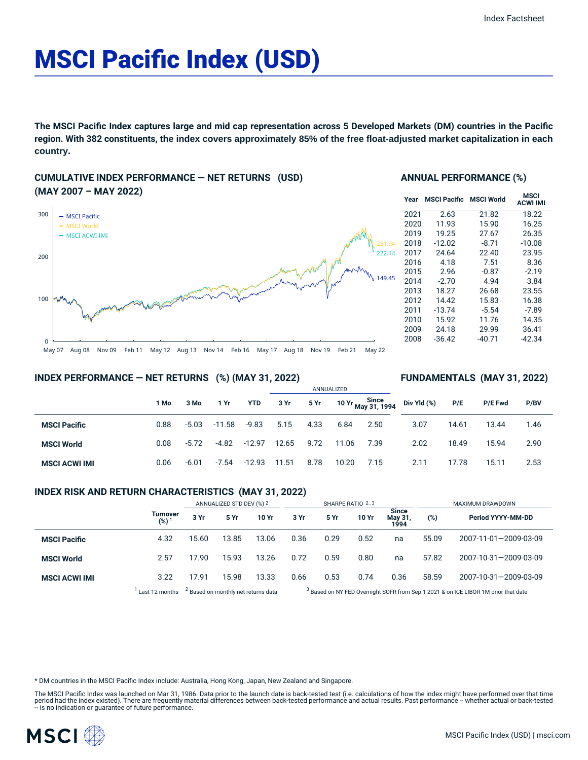# MSCI Pacific Index (USD)

The MSCI Pacific Index captures large and mid cap representation across 5 Developed Markets (DM) countries in the Pacific **region. With 382 constituents, the index covers approximately 85% of the free float-adjusted market capitalization in each country.**

## **CUMULATIVE INDEX PERFORMANCE — NET RETURNS (USD) (MAY 2007 – MAY 2022)**



### **ANNUAL PERFORMANCE (%)**

| Year | <b>MSCI Pacific</b> | <b>MSCI World</b> | MSCI<br><b>ACWI IMI</b> |
|------|---------------------|-------------------|-------------------------|
| 2021 | 2.63                | 21.82             | 18.22                   |
| 2020 | 11.93               | 15.90             | 16.25                   |
| 2019 | 19.25               | 27.67             | 26.35                   |
| 2018 | $-12.02$            | $-8.71$           | $-10.08$                |
| 2017 | 24.64               | 22.40             | 23.95                   |
| 2016 | 4.18                | 7.51              | 8.36                    |
| 2015 | 2.96                | $-0.87$           | $-2.19$                 |
| 2014 | $-2.70$             | 4.94              | 3.84                    |
| 2013 | 18.27               | 26.68             | 23.55                   |
| 2012 | 14.42               | 15.83             | 16.38                   |
| 2011 | $-13.74$            | $-5.54$           | $-7.89$                 |
| 2010 | 15.92               | 11.76             | 14.35                   |
| 2009 | 24.18               | 29.99             | 36.41                   |
| 2008 | $-36.42$            | $-40.71$          | -42.34                  |
|      |                     |                   |                         |

**FUNDAMENTALS (MAY 31, 2022)**

## **INDEX PERFORMANCE — NET RETURNS (%) (MAY 31, 2022)**

#### ANNUALIZED **1 Mo 3 Mo 1 Yr YTD 3 Yr 5 Yr 10 Yr Since May 31, 1994 MSCI Pacific** 0.88 -5.03 -11.58 -9.83 5.15 4.33 6.84 2.50 **MSCI World** 0.08 -5.72 -4.82 -12.97 12.65 9.72 11.06 7.39 **MSCI ACWI IMI** 0.06 -6.01 -7.54 -12.93 11.51 8.78 10.20 7.15 **Div Yld (%) P/E P/E Fwd P/BV** 3.07 14.61 13.44 1.46 2.02 18.49 15.94 2.90 2.11 17.78 15.11 2.53

## **INDEX RISK AND RETURN CHARACTERISTICS (MAY 31, 2022)**

|                      |                              | ANNUALIZED STD DEV (%) 2                       |       | SHARPE RATIO 2,3                                                                              |      |      |       | MAXIMUM DRAWDOWN                      |       |                       |
|----------------------|------------------------------|------------------------------------------------|-------|-----------------------------------------------------------------------------------------------|------|------|-------|---------------------------------------|-------|-----------------------|
|                      | Turnover<br>(%) <sup>1</sup> | 3 Yr                                           | 5 Yr  | 10 Yr                                                                                         | 3 Yr | 5 Yr | 10 Yr | <b>Since</b><br><b>May 31</b><br>1994 | (%)   | Period YYYY-MM-DD     |
| <b>MSCI Pacific</b>  | 4.32                         | 15.60                                          | 13.85 | 13.06                                                                                         | 0.36 | 0.29 | 0.52  | na                                    | 55.09 | 2007-11-01-2009-03-09 |
| <b>MSCI World</b>    | 2.57                         | 17.90                                          | 15.93 | 13.26                                                                                         | 0.72 | 0.59 | 0.80  | na                                    | 57.82 | 2007-10-31-2009-03-09 |
| <b>MSCI ACWI IMI</b> | 3.22                         | 17.91                                          | 15.98 | 13.33                                                                                         | 0.66 | 0.53 | 0.74  | 0.36                                  | 58.59 | 2007-10-31-2009-03-09 |
|                      | Last 12 months               | <sup>2</sup> Based on monthly net returns data |       | <sup>3</sup> Based on NY FED Overnight SOFR from Sep 1 2021 & on ICE LIBOR 1M prior that date |      |      |       |                                       |       |                       |

\* DM countries in the MSCI Pacific Index include: Australia, Hong Kong, Japan, New Zealand and Singapore.

The MSCI Pacific Index was launched on Mar 31, 1986. Data prior to the launch date is back-tested test (i.e. calculations of how the index might have performed over that time period had the index existed). There are frequently material differences between back-tested performance and actual results. Past performance – whether actual or back-tested<br>– is no indication or guarantee of future perfor

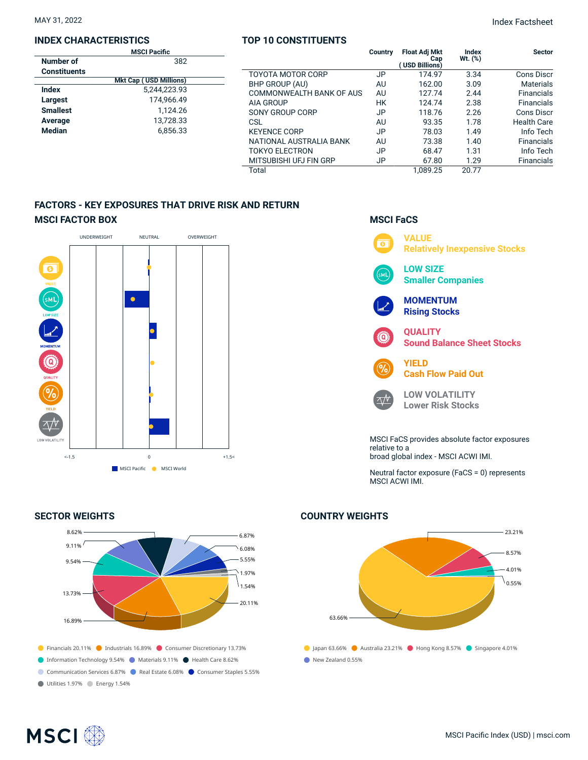### **INDEX CHARACTERISTICS**

|                     | <b>MSCI Pacific</b>           |  |
|---------------------|-------------------------------|--|
| Number of           | 382                           |  |
| <b>Constituents</b> |                               |  |
|                     | <b>Mkt Cap (USD Millions)</b> |  |
| Index               | 5,244,223.93                  |  |
| Largest             | 174.966.49                    |  |
| <b>Smallest</b>     | 1.124.26                      |  |
| Average             | 13.728.33                     |  |
| <b>Median</b>       | 6.856.33                      |  |
|                     |                               |  |

## **TOP 10 CONSTITUENTS**

|                          | Country | <b>Float Adj Mkt</b><br>Cap<br>(USD Billions) | <b>Index</b><br>Wt. (%) | <b>Sector</b>      |
|--------------------------|---------|-----------------------------------------------|-------------------------|--------------------|
| TOYOTA MOTOR CORP        | JP      | 174.97                                        | 3.34                    | Cons Discr         |
| BHP GROUP (AU)           | AU      | 162.00                                        | 3.09                    | <b>Materials</b>   |
| COMMONWEALTH BANK OF AUS | AU      | 127.74                                        | 2.44                    | <b>Financials</b>  |
| AIA GROUP                | НK      | 124.74                                        | 2.38                    | <b>Financials</b>  |
| SONY GROUP CORP          | JP      | 118.76                                        | 2.26                    | Cons Discr         |
| CSL                      | AU      | 93.35                                         | 1.78                    | <b>Health Care</b> |
| <b>KEYENCE CORP</b>      | JP      | 78.03                                         | 1.49                    | Info Tech          |
| NATIONAL AUSTRALIA BANK  | AU      | 73.38                                         | 1.40                    | <b>Financials</b>  |
| <b>TOKYO ELECTRON</b>    | JP      | 68.47                                         | 1.31                    | Info Tech          |
| MITSUBISHI UFJ FIN GRP   | JP      | 67.80                                         | 1.29                    | <b>Financials</b>  |
| Total                    |         | 1.089.25                                      | 20.77                   |                    |

## **FACTORS - KEY EXPOSURES THAT DRIVE RISK AND RETURN MSCI FACTOR BOX**



## **SECTOR WEIGHTS**



## **MSCI FaCS**



Neutral factor exposure (FaCS = 0) represents MSCI ACWI IMI.

## **COUNTRY WEIGHTS**



## **MSCI**<sup>®</sup>